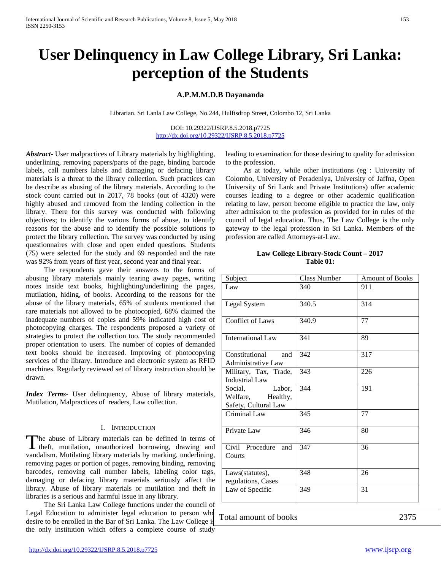# **User Delinquency in Law College Library, Sri Lanka: perception of the Students**

# **A.P.M.M.D.B Dayananda**

Librarian. Sri Lanla Law College, No.244, Hulftsdrop Street, Colombo 12, Sri Lanka

DOI: 10.29322/IJSRP.8.5.2018.p7725 <http://dx.doi.org/10.29322/IJSRP.8.5.2018.p7725>

*Abstract***-** User malpractices of Library materials by highlighting, underlining, removing papers/parts of the page, binding barcode labels, call numbers labels and damaging or defacing library materials is a threat to the library collection. Such practices can be describe as abusing of the library materials. According to the stock count carried out in 2017, 78 books (out of 4320) were highly abused and removed from the lending collection in the library. There for this survey was conducted with following objectives; to identify the various forms of abuse, to identify reasons for the abuse and to identify the possible solutions to protect the library collection. The survey was conducted by using questionnaires with close and open ended questions. Students (75) were selected for the study and 69 responded and the rate was 92% from years of first year, second year and final year.

 The respondents gave their answers to the forms of abusing library materials mainly tearing away pages, writing notes inside text books, highlighting/underlining the pages, mutilation, hiding, of books. According to the reasons for the abuse of the library materials, 65% of students mentioned that rare materials not allowed to be photocopied, 68% claimed the inadequate numbers of copies and 59% indicated high cost of photocopying charges. The respondents proposed a variety of strategies to protect the collection too. The study recommended proper orientation to users. The number of copies of demanded text books should be increased. Improving of photocopying services of the library. Introduce and electronic system as RFID machines. Regularly reviewed set of library instruction should be drawn.

*Index Terms*- User delinquency, Abuse of library materials, Mutilation, Malpractices of readers, Law collection.

#### I. INTRODUCTION

he abuse of Library materials can be defined in terms of The abuse of Library materials can be defined in terms of theft, mutilation, unauthorized borrowing, drawing and vandalism. Mutilating library materials by marking, underlining, removing pages or portion of pages, removing binding, removing barcodes, removing call number labels, labeling color tags, damaging or defacing library materials seriously affect the library. Abuse of library materials or mutilation and theft in libraries is a serious and harmful issue in any library.

 The Sri Lanka Law College functions under the council of Legal Education to administer legal education to person who desire to be enrolled in the Bar of Sri Lanka. The Law College is the only institution which offers a complete course of study

leading to examination for those desiring to quality for admission to the profession.

 As at today, while other institutions (eg : University of Colombo, University of Peradeniya, University of Jaffna, Open University of Sri Lank and Private Institutions) offer academic courses leading to a degree or other academic qualification relating to law, person become eligible to practice the law, only after admission to the profession as provided for in rules of the council of legal education. Thus, The Law College is the only gateway to the legal profession in Sri Lanka. Members of the profession are called Attorneys-at-Law.

# **Law College Library-Stock Count – 2017 Table 01:**

| Subject                                                           | Class Number | <b>Amount of Books</b> |
|-------------------------------------------------------------------|--------------|------------------------|
| Law                                                               | 340          | 911                    |
| Legal System                                                      | 340.5        | 314                    |
| <b>Conflict of Laws</b>                                           | 340.9        | 77                     |
| <b>International Law</b>                                          | 341          | 89                     |
| Constitutional<br>and<br><b>Administrative Law</b>                | 342          | 317                    |
| Military, Tax, Trade,<br><b>Industrial Law</b>                    | 343          | 226                    |
| Social.<br>Labor,<br>Welfare,<br>Healthy,<br>Safety, Cultural Law | 344          | 191                    |
| Criminal Law                                                      | 345          | 77                     |
| Private Law                                                       | 346          | 80                     |
| Civil Procedure<br>and<br>Courts                                  | 347          | 36                     |
| Laws(statutes),<br>regulations, Cases                             | 348          | 26                     |
| Law of Specific                                                   | 349          | 31                     |

Total amount of books 2375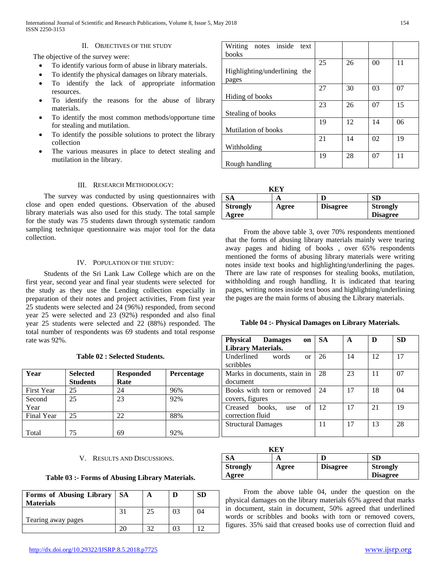# II. OBJECTIVES OF THE STUDY

The objective of the survey were:

- To identify various form of abuse in library materials.
- To identify the physical damages on library materials.
- To identify the lack of appropriate information resources.
- To identify the reasons for the abuse of library materials.
- To identify the most common methods/opportune time for stealing and mutilation.
- To identify the possible solutions to protect the library collection
- The various measures in place to detect stealing and mutilation in the library.

|  | III. RESEARCH METHODOLOGY: |
|--|----------------------------|
|--|----------------------------|

 The survey was conducted by using questionnaires with close and open ended questions. Observation of the abused library materials was also used for this study. The total sample for the study was 75 students dawn through systematic random sampling technique questionnaire was major tool for the data collection.

## IV. POPULATION OF THE STUDY:

 Students of the Sri Lank Law College which are on the first year, second year and final year students were selected for the study as they use the Lending collection especially in preparation of their notes and project activities, From first year 25 students were selected and 24 (96%) responded, from second year 25 were selected and 23 (92%) responded and also final year 25 students were selected and 22 (88%) responded. The total number of respondents was 69 students and total response rate was 92%.

|                   |                 |                  |            | scribbles                      |     |    |    |    |
|-------------------|-----------------|------------------|------------|--------------------------------|-----|----|----|----|
| Year              | <b>Selected</b> | <b>Responded</b> | Percentage | Marks in documents, stain in   | -28 | 23 |    | 07 |
|                   | <b>Students</b> | Rate             |            | document                       |     |    |    |    |
| <b>First Year</b> | 25              | 24               | 96%        | Books with torn or removed     | 24  | 17 | 18 | 04 |
| Second            | 25              | 23               | 92%        | covers, figures                |     |    |    |    |
| Year              |                 |                  |            | of<br>books.<br>Creased<br>use | 12  | 17 | 21 | 19 |
| Final Year        | 25              | 22               | 88%        | correction fluid               |     |    |    |    |
|                   |                 |                  |            | <b>Structural Damages</b>      |     | 17 | 13 | 28 |
| Total             | 75              | 69               | 92%        |                                |     |    |    |    |

#### V. RESULTS AND DISCUSSIONS.

#### **Table 03 :- Forms of Abusing Library Materials.**

| Forms of Abusing Library<br><b>Materials</b> | <b>SA</b> |                |    | SD |
|----------------------------------------------|-----------|----------------|----|----|
|                                              |           | 25             | 03 | 04 |
| Tearing away pages                           |           | 2 <sup>0</sup> |    |    |

| notes inside text<br>Writing |    |    |                |    |
|------------------------------|----|----|----------------|----|
| books                        |    |    |                |    |
|                              | 25 | 26 | 0 <sup>0</sup> | 11 |
| Highlighting/underlining the |    |    |                |    |
| pages                        |    |    |                |    |
|                              | 27 | 30 | 03             | 07 |
| Hiding of books              |    |    |                |    |
|                              | 23 | 26 | 07             | 15 |
| Stealing of books            |    |    |                |    |
|                              | 19 | 12 | 14             | 06 |
| Mutilation of books          |    |    |                |    |
|                              | 21 | 14 | 02             | 19 |
| Withholding                  |    |    |                |    |
|                              | 19 | 28 | 07             | 11 |
| Rough handling               |    |    |                |    |

|                 | KEY   |                 |                 |
|-----------------|-------|-----------------|-----------------|
| SА              | А     |                 | SD              |
| <b>Strongly</b> | Agree | <b>Disagree</b> | <b>Strongly</b> |
| Agree           |       |                 | <b>Disagree</b> |

 From the above table 3, over 70% respondents mentioned that the forms of abusing library materials mainly were tearing away pages and hiding of books , over 65% respondents mentioned the forms of abusing library materials were writing notes inside text books and highlighting/underlining the pages. There are law rate of responses for stealing books, mutilation, withholding and rough handling. It is indicated that tearing pages, writing notes inside text boos and highlighting/underlining the pages are the main forms of abusing the Library materials.

## **Table 04 :- Physical Damages on Library Materials.**

| <b>Physical Damages</b><br>on   | <b>SA</b> | A  |    | <b>SD</b> |
|---------------------------------|-----------|----|----|-----------|
| <b>Library Materials.</b>       |           |    |    |           |
| Underlined<br>words<br>$\alpha$ | 26        | 14 | 12 | 17        |
| scribbles                       |           |    |    |           |
| Marks in documents, stain in    | 28        | 23 | 11 | 07        |
| document                        |           |    |    |           |
| Books with torn or removed      | 24        | 17 | 18 | 04        |
| covers, figures                 |           |    |    |           |
| of<br>Creased books,<br>use     | 12        | 17 | 21 | 19        |
| correction fluid                |           |    |    |           |
| <b>Structural Damages</b>       |           | 17 | 13 | 28        |
|                                 |           |    |    |           |

|                 | K F. S |                 |                 |
|-----------------|--------|-----------------|-----------------|
| SА              |        |                 | <b>SD</b>       |
| <b>Strongly</b> | Agree  | <b>Disagree</b> | <b>Strongly</b> |
| Agree           |        |                 | <b>Disagree</b> |

 From the above table 04, under the question on the physical damages on the library materials 65% agreed that marks in document, stain in document, 50% agreed that underlined words or scribbles and books with torn or removed covers, figures. 35% said that creased books use of correction fluid and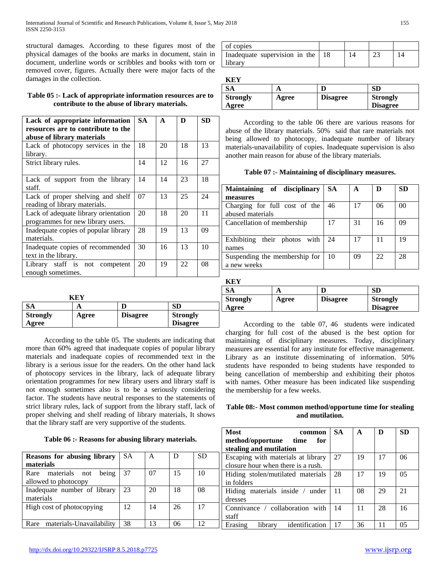International Journal of Scientific and Research Publications, Volume 8, Issue 5, May 2018 155 ISSN 2250-3153

structural damages. According to these figures most of the physical damages of the books are marks in document, stain in document, underline words or scribbles and books with torn or removed cover, figures. Actually there were major facts of the damages in the collection.

# **Table 05 :- Lack of appropriate information resources are to contribute to the abuse of library materials.**

| Lack of appropriate information<br>resources are to contribute to the     | SA. | A  | D  | <b>SD</b> |
|---------------------------------------------------------------------------|-----|----|----|-----------|
| abuse of library materials                                                |     | 20 | 18 | 13        |
| Lack of photocopy services in the<br>library.                             | 18  |    |    |           |
| Strict library rules.                                                     | 14  | 12 | 16 | 27        |
| Lack of support from the library<br>staff.                                | 14  | 14 | 23 | 18        |
| Lack of proper shelving and shelf<br>reading of library materials.        | 07  | 13 | 25 | 24        |
| Lack of adequate library orientation<br>programmes for new library users. | 20  | 18 | 20 | 11        |
| Inadequate copies of popular library<br>materials.                        | 28  | 19 | 13 | 09        |
| Inadequate copies of recommended<br>text in the library.                  | 30  | 16 | 13 | 10        |
| Library staff is not competent<br>enough sometimes.                       | 20  | 19 | 22 | 08        |

|                 | K F.Y |                 |                 |
|-----------------|-------|-----------------|-----------------|
| SА              |       |                 | SD              |
| <b>Strongly</b> | Agree | <b>Disagree</b> | <b>Strongly</b> |
| Agree           |       |                 | <b>Disagree</b> |

 According to the table 05. The students are indicating that more than 60% agreed that inadequate copies of popular library materials and inadequate copies of recommended text in the library is a serious issue for the readers. On the other hand lack of photocopy services in the library, lack of adequate library orientation programmes for new library users and library staff is not enough sometimes also is to be a seriously considering factor. The students have neutral responses to the statements of strict library rules, lack of support from the library staff, lack of proper shelving and shelf reading of library materials, It shows that the library staff are very supportive of the students.

## **Table 06 :- Reasons for abusing library materials.**

|           |    |    |           | мсание ани пична      |
|-----------|----|----|-----------|-----------------------|
| <b>SA</b> | A  | D  | <b>SD</b> | Escaping with mater   |
|           |    |    |           | closure hour when th  |
| 37        | 07 | 15 | 10        | Hiding stolen/mutila  |
|           |    |    |           | in folders            |
| 23        | 20 | 18 | 08        | Hiding materials in   |
|           |    |    |           | dresses               |
| 12        | 14 | 26 | 17        | Connivance /<br>colla |
|           |    |    |           | staff                 |
| 38        | 13 | 06 | 12        | library<br>Erasing    |
|           |    |    |           |                       |

| of copies                     |  |  |
|-------------------------------|--|--|
| Inadequate supervision in the |  |  |
| library                       |  |  |

**KEY**

| -----           |       |                 |                 |
|-----------------|-------|-----------------|-----------------|
| SA              |       |                 | <b>SD</b>       |
| <b>Strongly</b> | Agree | <b>Disagree</b> | <b>Strongly</b> |
| Agree           |       |                 | <b>Disagree</b> |
|                 |       |                 |                 |

 According to the table 06 there are various reasons for abuse of the library materials. 50% said that rare materials not being allowed to photocopy, inadequate number of library materials-unavailability of copies. Inadequate supervision is also another main reason for abuse of the library materials.

**Table 07 :- Maintaining of disciplinary measures.**

| Maintaining of disciplinary     | <b>SA</b> | A  |    | <b>SD</b>      |
|---------------------------------|-----------|----|----|----------------|
| measures                        |           |    |    |                |
| Charging for full cost of the   | 46        | 17 | 06 | 0 <sup>0</sup> |
| abused materials                |           |    |    |                |
| Cancellation of membership      | 17        | 31 | 16 | 09             |
|                                 |           |    |    |                |
| their photos with<br>Exhibiting | 24        | 17 | 11 | 19             |
| names                           |           |    |    |                |
| Suspending the membership for   | 10        | 09 | 22 | 28             |
| a new weeks                     |           |    |    |                |

 $K$ **K** $K$ 

| IN D-I          |       |                 |                 |
|-----------------|-------|-----------------|-----------------|
| SА              |       |                 | SD              |
| <b>Strongly</b> | Agree | <b>Disagree</b> | <b>Strongly</b> |
| Agree           |       |                 | <b>Disagree</b> |

 According to the table 07, 46 students were indicated charging for full cost of the abused is the best option for maintaining of disciplinary measures. Today, disciplinary measures are essential for any institute for effective management. Library as an institute disseminating of information. 50% students have responded to being students have responded to being cancellation of membership and exhibiting their photos with names. Other measure has been indicated like suspending the membership for a few weeks.

| Table 08:- Most common method/opportune time for stealing |
|-----------------------------------------------------------|
| and mutilation.                                           |

| <b>Most</b><br>common                | SA. | A  | D  | <b>SD</b>      |
|--------------------------------------|-----|----|----|----------------|
| method/opportune time<br>for         |     |    |    |                |
| stealing and mutilation              |     |    |    |                |
| Escaping with materials at library   | 27  | 19 | 17 | 06             |
| closure hour when there is a rush.   |     |    |    |                |
| Hiding stolen/mutilated materials    | 28  | 17 | 19 | 0 <sub>5</sub> |
| in folders                           |     |    |    |                |
| Hiding materials inside / under      | 11  | 08 | 29 | 21             |
| dresses                              |     |    |    |                |
| Connivance / collaboration with      | 14  | 11 | 28 | 16             |
| staff                                |     |    |    |                |
| identification<br>library<br>Erasing | 17  | 36 |    | 05             |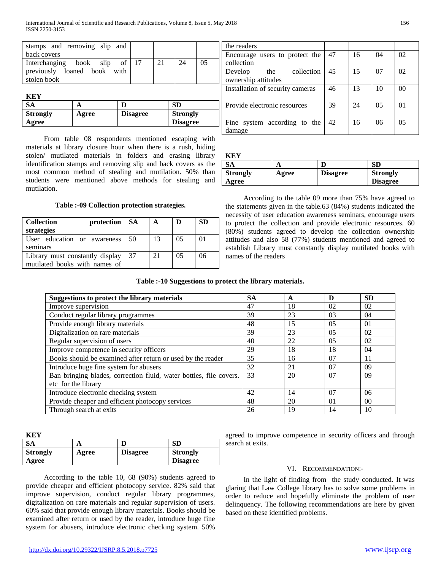| stamps and removing slip and   |                 |                 |                 |    | the readers                      |    |    |                |                |
|--------------------------------|-----------------|-----------------|-----------------|----|----------------------------------|----|----|----------------|----------------|
| back covers                    |                 |                 |                 |    | Encourage users to protect the   | 47 | 16 | 04             | 02             |
| book<br>slip<br>Interchanging  | 17<br>of        | 21              | 24              | 05 | collection                       |    |    |                |                |
| loaned book with<br>previously |                 |                 |                 |    | collection<br>Develop<br>the     | 45 | 15 | -07            | 02             |
| stolen book                    |                 |                 |                 |    | ownership attitudes              |    |    |                |                |
|                                |                 |                 |                 |    | Installation of security cameras | 46 | 13 | 10             | 0 <sup>0</sup> |
| <b>KEY</b>                     |                 |                 |                 |    |                                  |    |    |                |                |
| <b>SA</b><br>A                 |                 |                 | <b>SD</b>       |    | Provide electronic resources     | 39 | 24 | 0 <sub>5</sub> | 01             |
| <b>Strongly</b><br>Agree       | <b>Disagree</b> | <b>Strongly</b> |                 |    |                                  |    |    |                |                |
| Agree                          |                 |                 | <b>Disagree</b> |    | Fine system according to the     | 42 | 16 | 06             | 0 <sub>5</sub> |
|                                |                 |                 |                 |    | المستمدم المتحدد                 |    |    |                |                |

 From table 08 respondents mentioned escaping with materials at library closure hour when there is a rush, hiding stolen/ mutilated materials in folders and erasing library identification stamps and removing slip and back covers as the most common method of stealing and mutilation. 50% than students were mentioned above methods for stealing and mutilation.

## **Table :-09 Collection protection strategies.**

| <b>Collection</b><br>protection   SA<br>strategies               |     | A  |    | <b>SD</b> |
|------------------------------------------------------------------|-----|----|----|-----------|
| User education or awareness<br>seminars                          | 50  | 13 | 05 | 01        |
| Library must constantly display<br>mutilated books with names of | -37 | 21 | 05 | 06        |

| Provide electronic resources        | 39 | 24 | 0 <sub>5</sub> | 0 <sub>1</sub> |
|-------------------------------------|----|----|----------------|----------------|
|                                     |    |    |                |                |
| Fine system according to the $ 42 $ |    | 16 | 06             | 05             |
| damage                              |    |    |                |                |
|                                     |    |    |                |                |
|                                     |    |    |                |                |
| <b>KEY</b>                          |    |    |                |                |
|                                     |    |    |                |                |

| .               |       |                 |                 |
|-----------------|-------|-----------------|-----------------|
| SА              |       |                 | SD              |
| <b>Strongly</b> | Agree | <b>Disagree</b> | <b>Strongly</b> |
| Agree           |       |                 | <b>Disagree</b> |

 According to the table 09 more than 75% have agreed to the statements given in the table.63 (84%) students indicated the necessity of user education awareness seminars, encourage users to protect the collection and provide electronic resources. 60 (80%) students agreed to develop the collection ownership attitudes and also 58 (77%) students mentioned and agreed to establish Library must constantly display mutilated books with names of the readers

## **Table :-10 Suggestions to protect the library materials.**

| Suggestions to protect the library materials                       | <b>SA</b> | A  | D              | <b>SD</b>      |
|--------------------------------------------------------------------|-----------|----|----------------|----------------|
| Improve supervision                                                | 47        | 18 | 02             | 02             |
| Conduct regular library programmes                                 | 39        | 23 | 03             | 04             |
| Provide enough library materials                                   | 48        | 15 | 05             | 01             |
| Digitalization on rare materials                                   | 39        | 23 | 05             | 02             |
| Regular supervision of users                                       | 40        | 22 | 0 <sub>5</sub> | 02             |
| Improve competence in security officers                            | 29        | 18 | 18             | 04             |
| Books should be examined after return or used by the reader        | 35        | 16 | 07             | 11             |
| Introduce huge fine system for abusers                             | 32        | 21 | 07             | 09             |
| Ban bringing blades, correction fluid, water bottles, file covers. | 33        | 20 | 07             | 09             |
| etc for the library                                                |           |    |                |                |
| Introduce electronic checking system                               | 42        | 14 | 07             | 06             |
| Provide cheaper and efficient photocopy services                   | 48        | 20 | $\Omega$       | 0 <sup>0</sup> |
| Through search at exits                                            | 26        | 19 | 14             | 10             |

| <b>KEY</b>      |       |                 |                 |  |
|-----------------|-------|-----------------|-----------------|--|
| SА              |       |                 |                 |  |
| <b>Strongly</b> | Agree | <b>Disagree</b> | <b>Strongly</b> |  |
| Agree           |       |                 | <b>Disagree</b> |  |

 According to the table 10, 68 (90%) students agreed to provide cheaper and efficient photocopy service. 82% said that improve supervision, conduct regular library programmes, digitalization on rare materials and regular supervision of users. 60% said that provide enough library materials. Books should be examined after return or used by the reader, introduce huge fine system for abusers, introduce electronic checking system. 50%

agreed to improve competence in security officers and through search at exits.

# VI. RECOMMENDATION:-

 In the light of finding from the study conducted. It was glaring that Law College library has to solve some problems in order to reduce and hopefully eliminate the problem of user delinquency. The following recommendations are here by given based on these identified problems.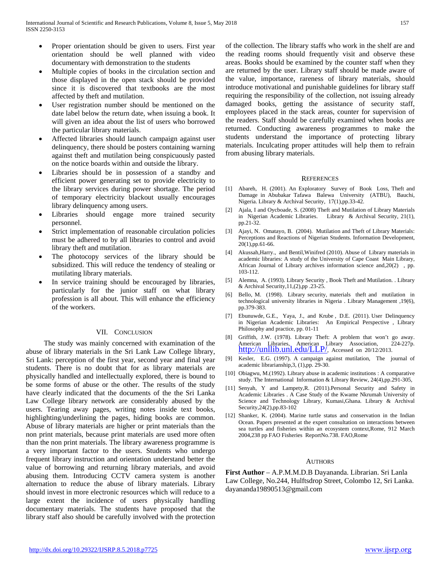- Proper orientation should be given to users. First year orientation should be well planned with video documentary with demonstration to the students
- Multiple copies of books in the circulation section and those displayed in the open stack should be provided since it is discovered that textbooks are the most affected by theft and mutilation.
- User registration number should be mentioned on the date label below the return date, when issuing a book. It will given an idea about the list of users who borrowed the particular library materials.
- Affected libraries should launch campaign against user delinquency, there should be posters containing warning against theft and mutilation being conspicuously pasted on the notice boards within and outside the library.
- Libraries should be in possession of a standby and efficient power generating set to provide electricity to the library services during power shortage. The period of temporary electricity blackout usually encourages library delinquency among users.
- Libraries should engage more trained security personnel.
- Strict implementation of reasonable circulation policies must be adhered to by all libraries to control and avoid library theft and mutilation.
- The photocopy services of the library should be subsidized. This will reduce the tendency of stealing or mutilating library materials.
- In service training should be encouraged by libraries, particularly for the junior staff on what library profession is all about. This will enhance the efficiency of the workers.

## VII. CONCLUSION

 The study was mainly concerned with examination of the abuse of library materials in the Sri Lank Law College library, Sri Lank: perception of the first year, second year and final year students. There is no doubt that for as library materials are physically handled and intellectually explored, there is bound to be some forms of abuse or the other. The results of the study have clearly indicated that the documents of the the Sri Lanka Law College library network are considerably abused by the users. Tearing away pages, writing notes inside text books, highlighting/underlining the pages, hiding books are common. Abuse of library materials are higher or print materials than the non print materials, because print materials are used more often than the non print materials. The library awareness programme is a very important factor to the users. Students who undergo frequent library instruction and orientation understand better the value of borrowing and returning library materials, and avoid abusing them. Introducing CCTV camera system is another alternation to reduce the abuse of library materials. Library should invest in more electronic resources which will reduce to a large extent the incidence of users physically handling documentary materials. The students have proposed that the library staff also should be carefully involved with the protection of the collection. The library staffs who work in the shelf are and the reading rooms should frequently visit and observe these areas. Books should be examined by the counter staff when they are returned by the user. Library staff should be made aware of the value, importance, rareness of library materials, should introduce motivational and punishable guidelines for library staff requiring the responsibility of the collection, not issuing already damaged books, getting the assistance of security staff, employees placed in the stack areas, counter for supervision of the readers. Staff should be carefully examined when books are returned. Conducting awareness programmes to make the students understand the importance of protecting library materials. Inculcating proper attitudes will help them to refrain from abusing library materials.

#### **REFERENCES**

- [1] Abareh, H. (2001). An Exploratory Survey of Book Loss, Theft and Damage in Abubakar Tafawa Balewa University (ATBU), Bauchi, Nigeria. Library & Archival Security, 17(1),pp.33-42.
- [2] Ajala, I and Oycboade, S. (2008) Theft and Mutilation of Library Materials in Nigerian Academic Libraries. Library & Archival Security, 21(1), pp.21-32.
- [3] Ajayi, N. Omatayo, B. (2004). Mutilation and Theft of Library Materials: Perceptions and Reactions of Nigerian Students. Information Development, 20(1),pp.61-66.
- [4] Akussah,Harry., and Bentil,Winifred (2010). Abuse of Library materials in academic libraries: A study of the University of Cape Coast Main Library, African Journal of Library archives information science and,20(2) , pp. 103-112.
- [5] Alemna, A. (1993). Library Security , Book Theft and Mutilation. . Library & Archival Security,11,(2),pp .23-25.
- [6] Bello, M. (1998). Library security, materials theft and mutilation in technological university libraries in Nigeria . Library Management ,19(6), pp.379-383.
- [7] Ebunuwde, G.E., Yaya, J., and Krube , D.E. (2011). User Delinquency in Nigerian Academic Libraries: An Empirical Perspective , Library Philosophy and practice, pp. 01-11
- [8] Griffith, J.W. (1978). Library Theft: A problem that won't go away. American Libraries, American Library Association, 224-227p.<br>[http://unllib.unl.edu/LLP/,](http://unllib.unl.edu/LLP/) Accessed on 20/12/2013.
- [9] Kesler, E.G. (1997). A campaign against mutilation, The journal of academic librarianship,3, (1),pp. 29-30.
- [10] Obiagwu, M.(1992). Library abuse in academic institutions : A comparative study. The International Information & Library Review, 24(4),pp.291-305,
- [11] Senyah, Y and Lampety, R. (2011). Personal Security and Safety in Academic Libraries . A Case Study of the Kwame Nkrumah University of Science and Technology Library, Kumasi,Ghana. Library & Archival Security,24(2),pp.83-102
- [12] Shanker, K. (2004). Marine turtle status and conservation in the Indian Ocean. Papers presented at the expert consultation on interactions between sea turtles and fisheries within an ecosystem context,Rome, 912 March 2004,238 pp FAO Fisheries ReportNo.738. FAO,Rome

#### AUTHORS

**First Author** – A.P.M.M.D.B Dayananda. Librarian. Sri Lanla Law College, No.244, Hulftsdrop Street, Colombo 12, Sri Lanka. dayananda19890513@gmail.com